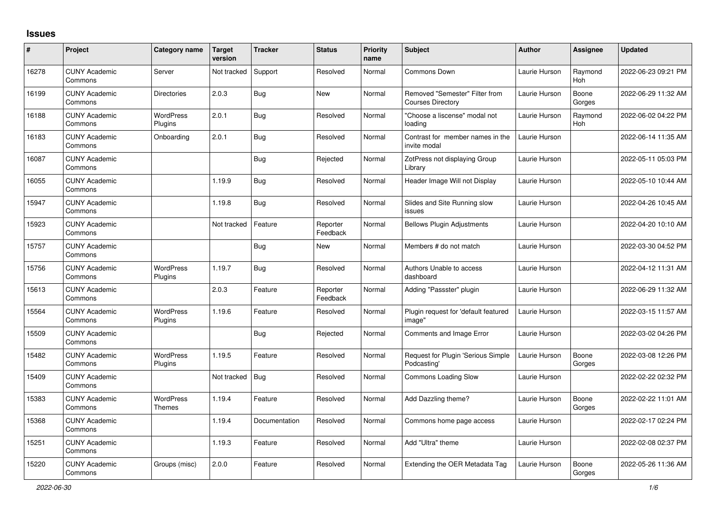## **Issues**

| $\#$  | Project                         | Category name                     | <b>Target</b><br>version | <b>Tracker</b> | <b>Status</b>        | <b>Priority</b><br>name | Subject                                                    | <b>Author</b> | Assignee        | Updated             |
|-------|---------------------------------|-----------------------------------|--------------------------|----------------|----------------------|-------------------------|------------------------------------------------------------|---------------|-----------------|---------------------|
| 16278 | <b>CUNY Academic</b><br>Commons | Server                            | Not tracked              | Support        | Resolved             | Normal                  | Commons Down                                               | Laurie Hurson | Raymond<br>Hoh  | 2022-06-23 09:21 PM |
| 16199 | <b>CUNY Academic</b><br>Commons | <b>Directories</b>                | 2.0.3                    | Bug            | New                  | Normal                  | Removed "Semester" Filter from<br><b>Courses Directory</b> | Laurie Hurson | Boone<br>Gorges | 2022-06-29 11:32 AM |
| 16188 | <b>CUNY Academic</b><br>Commons | <b>WordPress</b><br>Plugins       | 2.0.1                    | <b>Bug</b>     | Resolved             | Normal                  | "Choose a liscense" modal not<br>loading                   | Laurie Hurson | Raymond<br>Hoh  | 2022-06-02 04:22 PM |
| 16183 | <b>CUNY Academic</b><br>Commons | Onboarding                        | 2.0.1                    | Bug            | Resolved             | Normal                  | Contrast for member names in the<br>invite modal           | Laurie Hurson |                 | 2022-06-14 11:35 AM |
| 16087 | <b>CUNY Academic</b><br>Commons |                                   |                          | Bug            | Rejected             | Normal                  | ZotPress not displaying Group<br>Library                   | Laurie Hurson |                 | 2022-05-11 05:03 PM |
| 16055 | <b>CUNY Academic</b><br>Commons |                                   | 1.19.9                   | <b>Bug</b>     | Resolved             | Normal                  | Header Image Will not Display                              | Laurie Hurson |                 | 2022-05-10 10:44 AM |
| 15947 | <b>CUNY Academic</b><br>Commons |                                   | 1.19.8                   | <b>Bug</b>     | Resolved             | Normal                  | Slides and Site Running slow<br>issues                     | Laurie Hurson |                 | 2022-04-26 10:45 AM |
| 15923 | <b>CUNY Academic</b><br>Commons |                                   | Not tracked              | Feature        | Reporter<br>Feedback | Normal                  | <b>Bellows Plugin Adjustments</b>                          | Laurie Hurson |                 | 2022-04-20 10:10 AM |
| 15757 | <b>CUNY Academic</b><br>Commons |                                   |                          | Bug            | <b>New</b>           | Normal                  | Members # do not match                                     | Laurie Hurson |                 | 2022-03-30 04:52 PM |
| 15756 | <b>CUNY Academic</b><br>Commons | WordPress<br>Plugins              | 1.19.7                   | <b>Bug</b>     | Resolved             | Normal                  | Authors Unable to access<br>dashboard                      | Laurie Hurson |                 | 2022-04-12 11:31 AM |
| 15613 | <b>CUNY Academic</b><br>Commons |                                   | 2.0.3                    | Feature        | Reporter<br>Feedback | Normal                  | Adding "Passster" plugin                                   | Laurie Hurson |                 | 2022-06-29 11:32 AM |
| 15564 | <b>CUNY Academic</b><br>Commons | WordPress<br>Plugins              | 1.19.6                   | Feature        | Resolved             | Normal                  | Plugin request for 'default featured<br>image"             | Laurie Hurson |                 | 2022-03-15 11:57 AM |
| 15509 | <b>CUNY Academic</b><br>Commons |                                   |                          | <b>Bug</b>     | Rejected             | Normal                  | Comments and Image Error                                   | Laurie Hurson |                 | 2022-03-02 04:26 PM |
| 15482 | <b>CUNY Academic</b><br>Commons | WordPress<br>Plugins              | 1.19.5                   | Feature        | Resolved             | Normal                  | Request for Plugin 'Serious Simple<br>Podcasting'          | Laurie Hurson | Boone<br>Gorges | 2022-03-08 12:26 PM |
| 15409 | <b>CUNY Academic</b><br>Commons |                                   | Not tracked              | <b>Bug</b>     | Resolved             | Normal                  | Commons Loading Slow                                       | Laurie Hurson |                 | 2022-02-22 02:32 PM |
| 15383 | <b>CUNY Academic</b><br>Commons | <b>WordPress</b><br><b>Themes</b> | 1.19.4                   | Feature        | Resolved             | Normal                  | Add Dazzling theme?                                        | Laurie Hurson | Boone<br>Gorges | 2022-02-22 11:01 AM |
| 15368 | <b>CUNY Academic</b><br>Commons |                                   | 1.19.4                   | Documentation  | Resolved             | Normal                  | Commons home page access                                   | Laurie Hurson |                 | 2022-02-17 02:24 PM |
| 15251 | <b>CUNY Academic</b><br>Commons |                                   | 1.19.3                   | Feature        | Resolved             | Normal                  | Add "Ultra" theme                                          | Laurie Hurson |                 | 2022-02-08 02:37 PM |
| 15220 | <b>CUNY Academic</b><br>Commons | Groups (misc)                     | 2.0.0                    | Feature        | Resolved             | Normal                  | Extending the OER Metadata Tag                             | Laurie Hurson | Boone<br>Gorges | 2022-05-26 11:36 AM |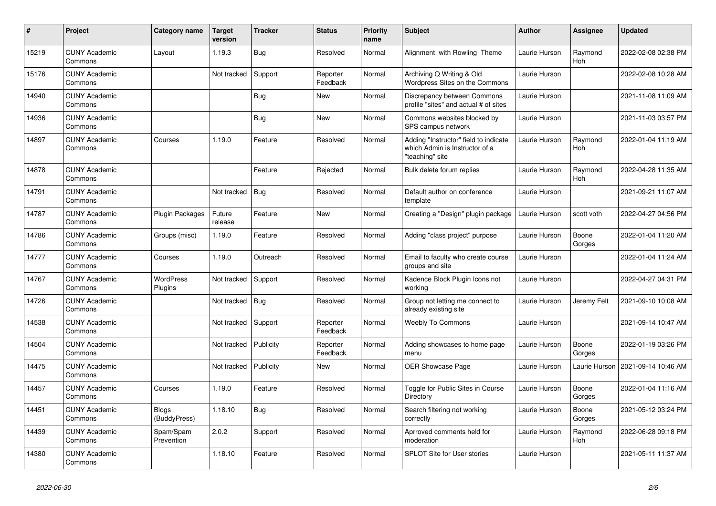| $\vert$ # | Project                         | Category name               | <b>Target</b><br>version | <b>Tracker</b> | <b>Status</b>        | <b>Priority</b><br>name | <b>Subject</b>                                                                             | Author        | <b>Assignee</b> | <b>Updated</b>      |
|-----------|---------------------------------|-----------------------------|--------------------------|----------------|----------------------|-------------------------|--------------------------------------------------------------------------------------------|---------------|-----------------|---------------------|
| 15219     | <b>CUNY Academic</b><br>Commons | Layout                      | 1.19.3                   | Bug            | Resolved             | Normal                  | Alignment with Rowling Theme                                                               | Laurie Hurson | Raymond<br>Hoh  | 2022-02-08 02:38 PM |
| 15176     | <b>CUNY Academic</b><br>Commons |                             | Not tracked              | Support        | Reporter<br>Feedback | Normal                  | Archiving Q Writing & Old<br>Wordpress Sites on the Commons                                | Laurie Hurson |                 | 2022-02-08 10:28 AM |
| 14940     | <b>CUNY Academic</b><br>Commons |                             |                          | Bug            | New                  | Normal                  | Discrepancy between Commons<br>profile "sites" and actual # of sites                       | Laurie Hurson |                 | 2021-11-08 11:09 AM |
| 14936     | <b>CUNY Academic</b><br>Commons |                             |                          | <b>Bug</b>     | New                  | Normal                  | Commons websites blocked by<br>SPS campus network                                          | Laurie Hurson |                 | 2021-11-03 03:57 PM |
| 14897     | <b>CUNY Academic</b><br>Commons | Courses                     | 1.19.0                   | Feature        | Resolved             | Normal                  | Adding "Instructor" field to indicate<br>which Admin is Instructor of a<br>"teaching" site | Laurie Hurson | Raymond<br>Hoh  | 2022-01-04 11:19 AM |
| 14878     | <b>CUNY Academic</b><br>Commons |                             |                          | Feature        | Rejected             | Normal                  | Bulk delete forum replies                                                                  | Laurie Hurson | Raymond<br>Hoh  | 2022-04-28 11:35 AM |
| 14791     | <b>CUNY Academic</b><br>Commons |                             | Not tracked              | <b>Bug</b>     | Resolved             | Normal                  | Default author on conference<br>template                                                   | Laurie Hurson |                 | 2021-09-21 11:07 AM |
| 14787     | <b>CUNY Academic</b><br>Commons | Plugin Packages             | Future<br>release        | Feature        | New                  | Normal                  | Creating a "Design" plugin package                                                         | Laurie Hurson | scott voth      | 2022-04-27 04:56 PM |
| 14786     | <b>CUNY Academic</b><br>Commons | Groups (misc)               | 1.19.0                   | Feature        | Resolved             | Normal                  | Adding "class project" purpose                                                             | Laurie Hurson | Boone<br>Gorges | 2022-01-04 11:20 AM |
| 14777     | <b>CUNY Academic</b><br>Commons | Courses                     | 1.19.0                   | Outreach       | Resolved             | Normal                  | Email to faculty who create course<br>groups and site                                      | Laurie Hurson |                 | 2022-01-04 11:24 AM |
| 14767     | <b>CUNY Academic</b><br>Commons | <b>WordPress</b><br>Plugins | Not tracked              | Support        | Resolved             | Normal                  | Kadence Block Plugin Icons not<br>working                                                  | Laurie Hurson |                 | 2022-04-27 04:31 PM |
| 14726     | <b>CUNY Academic</b><br>Commons |                             | Not tracked              | Bug            | Resolved             | Normal                  | Group not letting me connect to<br>already existing site                                   | Laurie Hurson | Jeremy Felt     | 2021-09-10 10:08 AM |
| 14538     | <b>CUNY Academic</b><br>Commons |                             | Not tracked              | Support        | Reporter<br>Feedback | Normal                  | <b>Weebly To Commons</b>                                                                   | Laurie Hurson |                 | 2021-09-14 10:47 AM |
| 14504     | <b>CUNY Academic</b><br>Commons |                             | Not tracked              | Publicity      | Reporter<br>Feedback | Normal                  | Adding showcases to home page<br>menu                                                      | Laurie Hurson | Boone<br>Gorges | 2022-01-19 03:26 PM |
| 14475     | <b>CUNY Academic</b><br>Commons |                             | Not tracked              | Publicity      | New                  | Normal                  | OER Showcase Page                                                                          | Laurie Hurson | Laurie Hurson   | 2021-09-14 10:46 AM |
| 14457     | <b>CUNY Academic</b><br>Commons | Courses                     | 1.19.0                   | Feature        | Resolved             | Normal                  | Toggle for Public Sites in Course<br>Directory                                             | Laurie Hurson | Boone<br>Gorges | 2022-01-04 11:16 AM |
| 14451     | <b>CUNY Academic</b><br>Commons | Blogs<br>(BuddyPress)       | 1.18.10                  | Bug            | Resolved             | Normal                  | Search filtering not working<br>correctly                                                  | Laurie Hurson | Boone<br>Gorges | 2021-05-12 03:24 PM |
| 14439     | <b>CUNY Academic</b><br>Commons | Spam/Spam<br>Prevention     | 2.0.2                    | Support        | Resolved             | Normal                  | Aprroved comments held for<br>moderation                                                   | Laurie Hurson | Raymond<br>Hoh  | 2022-06-28 09:18 PM |
| 14380     | <b>CUNY Academic</b><br>Commons |                             | 1.18.10                  | Feature        | Resolved             | Normal                  | SPLOT Site for User stories                                                                | Laurie Hurson |                 | 2021-05-11 11:37 AM |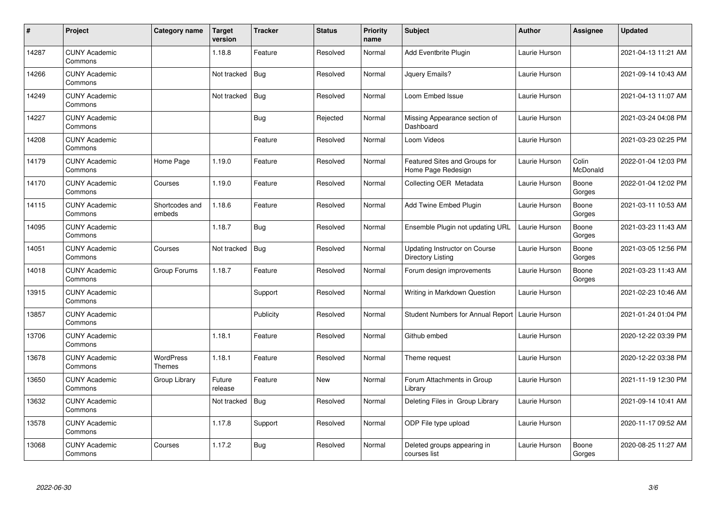| $\sharp$ | Project                         | Category name              | <b>Target</b><br>version | <b>Tracker</b> | <b>Status</b> | <b>Priority</b><br>name | <b>Subject</b>                                      | <b>Author</b> | Assignee          | <b>Updated</b>      |
|----------|---------------------------------|----------------------------|--------------------------|----------------|---------------|-------------------------|-----------------------------------------------------|---------------|-------------------|---------------------|
| 14287    | <b>CUNY Academic</b><br>Commons |                            | 1.18.8                   | Feature        | Resolved      | Normal                  | Add Eventbrite Plugin                               | Laurie Hurson |                   | 2021-04-13 11:21 AM |
| 14266    | <b>CUNY Academic</b><br>Commons |                            | Not tracked              | <b>Bug</b>     | Resolved      | Normal                  | Jquery Emails?                                      | Laurie Hurson |                   | 2021-09-14 10:43 AM |
| 14249    | <b>CUNY Academic</b><br>Commons |                            | Not tracked              | <b>Bug</b>     | Resolved      | Normal                  | Loom Embed Issue                                    | Laurie Hurson |                   | 2021-04-13 11:07 AM |
| 14227    | <b>CUNY Academic</b><br>Commons |                            |                          | Bug            | Rejected      | Normal                  | Missing Appearance section of<br>Dashboard          | Laurie Hurson |                   | 2021-03-24 04:08 PM |
| 14208    | <b>CUNY Academic</b><br>Commons |                            |                          | Feature        | Resolved      | Normal                  | Loom Videos                                         | Laurie Hurson |                   | 2021-03-23 02:25 PM |
| 14179    | <b>CUNY Academic</b><br>Commons | Home Page                  | 1.19.0                   | Feature        | Resolved      | Normal                  | Featured Sites and Groups for<br>Home Page Redesign | Laurie Hurson | Colin<br>McDonald | 2022-01-04 12:03 PM |
| 14170    | <b>CUNY Academic</b><br>Commons | Courses                    | 1.19.0                   | Feature        | Resolved      | Normal                  | Collecting OER Metadata                             | Laurie Hurson | Boone<br>Gorges   | 2022-01-04 12:02 PM |
| 14115    | <b>CUNY Academic</b><br>Commons | Shortcodes and<br>embeds   | 1.18.6                   | Feature        | Resolved      | Normal                  | Add Twine Embed Plugin                              | Laurie Hurson | Boone<br>Gorges   | 2021-03-11 10:53 AM |
| 14095    | <b>CUNY Academic</b><br>Commons |                            | 1.18.7                   | Bug            | Resolved      | Normal                  | Ensemble Plugin not updating URL                    | Laurie Hurson | Boone<br>Gorges   | 2021-03-23 11:43 AM |
| 14051    | <b>CUNY Academic</b><br>Commons | Courses                    | Not tracked              | Bug            | Resolved      | Normal                  | Updating Instructor on Course<br>Directory Listing  | Laurie Hurson | Boone<br>Gorges   | 2021-03-05 12:56 PM |
| 14018    | <b>CUNY Academic</b><br>Commons | Group Forums               | 1.18.7                   | Feature        | Resolved      | Normal                  | Forum design improvements                           | Laurie Hurson | Boone<br>Gorges   | 2021-03-23 11:43 AM |
| 13915    | <b>CUNY Academic</b><br>Commons |                            |                          | Support        | Resolved      | Normal                  | Writing in Markdown Question                        | Laurie Hurson |                   | 2021-02-23 10:46 AM |
| 13857    | <b>CUNY Academic</b><br>Commons |                            |                          | Publicity      | Resolved      | Normal                  | Student Numbers for Annual Report   Laurie Hurson   |               |                   | 2021-01-24 01:04 PM |
| 13706    | <b>CUNY Academic</b><br>Commons |                            | 1.18.1                   | Feature        | Resolved      | Normal                  | Github embed                                        | Laurie Hurson |                   | 2020-12-22 03:39 PM |
| 13678    | <b>CUNY Academic</b><br>Commons | <b>WordPress</b><br>Themes | 1.18.1                   | Feature        | Resolved      | Normal                  | Theme request                                       | Laurie Hurson |                   | 2020-12-22 03:38 PM |
| 13650    | <b>CUNY Academic</b><br>Commons | Group Library              | Future<br>release        | Feature        | New           | Normal                  | Forum Attachments in Group<br>Library               | Laurie Hurson |                   | 2021-11-19 12:30 PM |
| 13632    | <b>CUNY Academic</b><br>Commons |                            | Not tracked              | <b>Bug</b>     | Resolved      | Normal                  | Deleting Files in Group Library                     | Laurie Hurson |                   | 2021-09-14 10:41 AM |
| 13578    | <b>CUNY Academic</b><br>Commons |                            | 1.17.8                   | Support        | Resolved      | Normal                  | ODP File type upload                                | Laurie Hurson |                   | 2020-11-17 09:52 AM |
| 13068    | <b>CUNY Academic</b><br>Commons | Courses                    | 1.17.2                   | <b>Bug</b>     | Resolved      | Normal                  | Deleted groups appearing in<br>courses list         | Laurie Hurson | Boone<br>Gorges   | 2020-08-25 11:27 AM |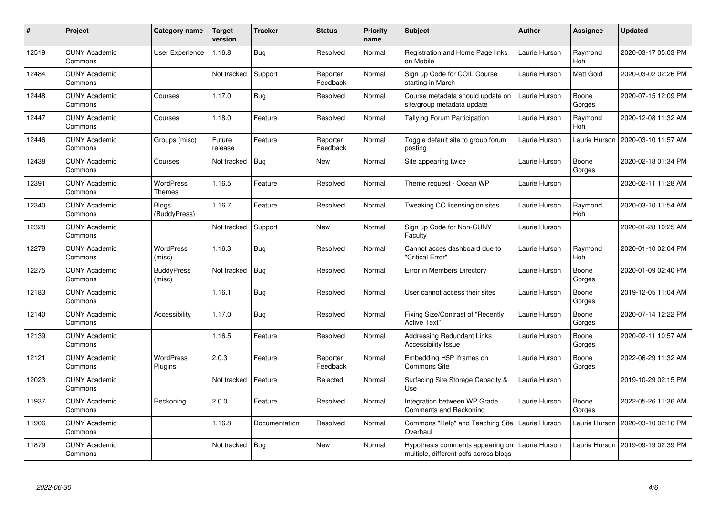| #     | Project                         | Category name                | Target<br>version | <b>Tracker</b> | <b>Status</b>        | <b>Priority</b><br>name | <b>Subject</b>                                                            | <b>Author</b> | <b>Assignee</b>       | <b>Updated</b>      |
|-------|---------------------------------|------------------------------|-------------------|----------------|----------------------|-------------------------|---------------------------------------------------------------------------|---------------|-----------------------|---------------------|
| 12519 | <b>CUNY Academic</b><br>Commons | <b>User Experience</b>       | 1.16.8            | <b>Bug</b>     | Resolved             | Normal                  | Registration and Home Page links<br>on Mobile                             | Laurie Hurson | Raymond<br>Hoh        | 2020-03-17 05:03 PM |
| 12484 | <b>CUNY Academic</b><br>Commons |                              | Not tracked       | Support        | Reporter<br>Feedback | Normal                  | Sign up Code for COIL Course<br>starting in March                         | Laurie Hurson | <b>Matt Gold</b>      | 2020-03-02 02:26 PM |
| 12448 | <b>CUNY Academic</b><br>Commons | Courses                      | 1.17.0            | <b>Bug</b>     | Resolved             | Normal                  | Course metadata should update on<br>site/group metadata update            | Laurie Hurson | Boone<br>Gorges       | 2020-07-15 12:09 PM |
| 12447 | <b>CUNY Academic</b><br>Commons | Courses                      | 1.18.0            | Feature        | Resolved             | Normal                  | Tallying Forum Participation                                              | Laurie Hurson | Raymond<br><b>Hoh</b> | 2020-12-08 11:32 AM |
| 12446 | <b>CUNY Academic</b><br>Commons | Groups (misc)                | Future<br>release | Feature        | Reporter<br>Feedback | Normal                  | Toggle default site to group forum<br>posting                             | Laurie Hurson | Laurie Hurson         | 2020-03-10 11:57 AM |
| 12438 | <b>CUNY Academic</b><br>Commons | Courses                      | Not tracked       | <b>Bug</b>     | <b>New</b>           | Normal                  | Site appearing twice                                                      | Laurie Hurson | Boone<br>Gorges       | 2020-02-18 01:34 PM |
| 12391 | <b>CUNY Academic</b><br>Commons | <b>WordPress</b><br>Themes   | 1.16.5            | Feature        | Resolved             | Normal                  | Theme request - Ocean WP                                                  | Laurie Hurson |                       | 2020-02-11 11:28 AM |
| 12340 | <b>CUNY Academic</b><br>Commons | <b>Blogs</b><br>(BuddyPress) | 1.16.7            | Feature        | Resolved             | Normal                  | Tweaking CC licensing on sites                                            | Laurie Hurson | Raymond<br><b>Hoh</b> | 2020-03-10 11:54 AM |
| 12328 | <b>CUNY Academic</b><br>Commons |                              | Not tracked       | Support        | New                  | Normal                  | Sign up Code for Non-CUNY<br>Faculty                                      | Laurie Hurson |                       | 2020-01-28 10:25 AM |
| 12278 | <b>CUNY Academic</b><br>Commons | <b>WordPress</b><br>(misc)   | 1.16.3            | Bug            | Resolved             | Normal                  | Cannot acces dashboard due to<br>'Critical Error"                         | Laurie Hurson | Raymond<br>Hoh        | 2020-01-10 02:04 PM |
| 12275 | <b>CUNY Academic</b><br>Commons | <b>BuddyPress</b><br>(misc)  | Not tracked       | <b>Bug</b>     | Resolved             | Normal                  | Error in Members Directory                                                | Laurie Hurson | Boone<br>Gorges       | 2020-01-09 02:40 PM |
| 12183 | <b>CUNY Academic</b><br>Commons |                              | 1.16.1            | <b>Bug</b>     | Resolved             | Normal                  | User cannot access their sites                                            | Laurie Hurson | Boone<br>Gorges       | 2019-12-05 11:04 AM |
| 12140 | <b>CUNY Academic</b><br>Commons | Accessibility                | 1.17.0            | Bug            | Resolved             | Normal                  | Fixing Size/Contrast of "Recently<br><b>Active Text"</b>                  | Laurie Hurson | Boone<br>Gorges       | 2020-07-14 12:22 PM |
| 12139 | <b>CUNY Academic</b><br>Commons |                              | 1.16.5            | Feature        | Resolved             | Normal                  | <b>Addressing Redundant Links</b><br><b>Accessibility Issue</b>           | Laurie Hurson | Boone<br>Gorges       | 2020-02-11 10:57 AM |
| 12121 | <b>CUNY Academic</b><br>Commons | <b>WordPress</b><br>Plugins  | 2.0.3             | Feature        | Reporter<br>Feedback | Normal                  | Embedding H5P Iframes on<br>Commons Site                                  | Laurie Hurson | Boone<br>Gorges       | 2022-06-29 11:32 AM |
| 12023 | <b>CUNY Academic</b><br>Commons |                              | Not tracked       | Feature        | Rejected             | Normal                  | Surfacing Site Storage Capacity &<br>Use                                  | Laurie Hurson |                       | 2019-10-29 02:15 PM |
| 11937 | <b>CUNY Academic</b><br>Commons | Reckoning                    | 2.0.0             | Feature        | Resolved             | Normal                  | Integration between WP Grade<br>Comments and Reckoning                    | Laurie Hurson | Boone<br>Gorges       | 2022-05-26 11:36 AM |
| 11906 | <b>CUNY Academic</b><br>Commons |                              | 1.16.8            | Documentation  | Resolved             | Normal                  | Commons "Help" and Teaching Site<br>Overhaul                              | Laurie Hurson | Laurie Hurson         | 2020-03-10 02:16 PM |
| 11879 | <b>CUNY Academic</b><br>Commons |                              | Not tracked       | <b>Bug</b>     | <b>New</b>           | Normal                  | Hypothesis comments appearing on<br>multiple, different pdfs across blogs | Laurie Hurson | Laurie Hurson         | 2019-09-19 02:39 PM |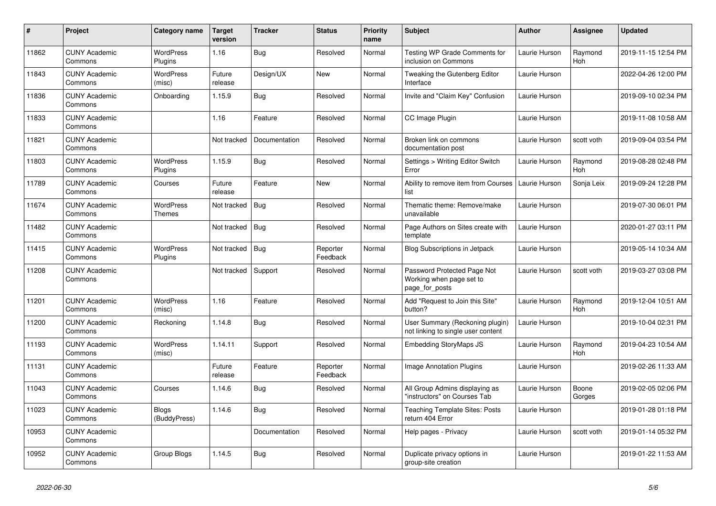| $\#$  | Project                         | Category name                | <b>Target</b><br>version | <b>Tracker</b> | <b>Status</b>        | <b>Priority</b><br>name | <b>Subject</b>                                                            | <b>Author</b> | <b>Assignee</b> | <b>Updated</b>      |
|-------|---------------------------------|------------------------------|--------------------------|----------------|----------------------|-------------------------|---------------------------------------------------------------------------|---------------|-----------------|---------------------|
| 11862 | <b>CUNY Academic</b><br>Commons | <b>WordPress</b><br>Plugins  | 1.16                     | Bug            | Resolved             | Normal                  | Testing WP Grade Comments for<br>inclusion on Commons                     | Laurie Hurson | Raymond<br>Hoh  | 2019-11-15 12:54 PM |
| 11843 | <b>CUNY Academic</b><br>Commons | <b>WordPress</b><br>(misc)   | Future<br>release        | Design/UX      | <b>New</b>           | Normal                  | Tweaking the Gutenberg Editor<br>Interface                                | Laurie Hurson |                 | 2022-04-26 12:00 PM |
| 11836 | <b>CUNY Academic</b><br>Commons | Onboarding                   | 1.15.9                   | Bug            | Resolved             | Normal                  | Invite and "Claim Key" Confusion                                          | Laurie Hurson |                 | 2019-09-10 02:34 PM |
| 11833 | <b>CUNY Academic</b><br>Commons |                              | 1.16                     | Feature        | Resolved             | Normal                  | CC Image Plugin                                                           | Laurie Hurson |                 | 2019-11-08 10:58 AM |
| 11821 | <b>CUNY Academic</b><br>Commons |                              | Not tracked              | Documentation  | Resolved             | Normal                  | Broken link on commons<br>documentation post                              | Laurie Hurson | scott voth      | 2019-09-04 03:54 PM |
| 11803 | <b>CUNY Academic</b><br>Commons | <b>WordPress</b><br>Plugins  | 1.15.9                   | Bug            | Resolved             | Normal                  | Settings > Writing Editor Switch<br>Error                                 | Laurie Hurson | Raymond<br>Hoh  | 2019-08-28 02:48 PM |
| 11789 | <b>CUNY Academic</b><br>Commons | Courses                      | Future<br>release        | Feature        | <b>New</b>           | Normal                  | Ability to remove item from Courses<br>list                               | Laurie Hurson | Sonja Leix      | 2019-09-24 12:28 PM |
| 11674 | <b>CUNY Academic</b><br>Commons | <b>WordPress</b><br>Themes   | Not tracked              | <b>Bug</b>     | Resolved             | Normal                  | Thematic theme: Remove/make<br>unavailable                                | Laurie Hurson |                 | 2019-07-30 06:01 PM |
| 11482 | <b>CUNY Academic</b><br>Commons |                              | Not tracked              | Bug            | Resolved             | Normal                  | Page Authors on Sites create with<br>template                             | Laurie Hurson |                 | 2020-01-27 03:11 PM |
| 11415 | <b>CUNY Academic</b><br>Commons | <b>WordPress</b><br>Plugins  | Not tracked              | Bug            | Reporter<br>Feedback | Normal                  | <b>Blog Subscriptions in Jetpack</b>                                      | Laurie Hurson |                 | 2019-05-14 10:34 AM |
| 11208 | <b>CUNY Academic</b><br>Commons |                              | Not tracked              | Support        | Resolved             | Normal                  | Password Protected Page Not<br>Working when page set to<br>page for posts | Laurie Hurson | scott voth      | 2019-03-27 03:08 PM |
| 11201 | <b>CUNY Academic</b><br>Commons | <b>WordPress</b><br>(misc)   | 1.16                     | Feature        | Resolved             | Normal                  | Add "Request to Join this Site"<br>button?                                | Laurie Hurson | Raymond<br>Hoh  | 2019-12-04 10:51 AM |
| 11200 | <b>CUNY Academic</b><br>Commons | Reckoning                    | 1.14.8                   | <b>Bug</b>     | Resolved             | Normal                  | User Summary (Reckoning plugin)<br>not linking to single user content     | Laurie Hurson |                 | 2019-10-04 02:31 PM |
| 11193 | <b>CUNY Academic</b><br>Commons | WordPress<br>(misc)          | 1.14.11                  | Support        | Resolved             | Normal                  | <b>Embedding StoryMaps JS</b>                                             | Laurie Hurson | Raymond<br>Hoh  | 2019-04-23 10:54 AM |
| 11131 | <b>CUNY Academic</b><br>Commons |                              | Future<br>release        | Feature        | Reporter<br>Feedback | Normal                  | <b>Image Annotation Plugins</b>                                           | Laurie Hurson |                 | 2019-02-26 11:33 AM |
| 11043 | <b>CUNY Academic</b><br>Commons | Courses                      | 1.14.6                   | <b>Bug</b>     | Resolved             | Normal                  | All Group Admins displaying as<br>"instructors" on Courses Tab            | Laurie Hurson | Boone<br>Gorges | 2019-02-05 02:06 PM |
| 11023 | <b>CUNY Academic</b><br>Commons | <b>Blogs</b><br>(BuddyPress) | 1.14.6                   | Bug            | Resolved             | Normal                  | <b>Teaching Template Sites: Posts</b><br>return 404 Error                 | Laurie Hurson |                 | 2019-01-28 01:18 PM |
| 10953 | <b>CUNY Academic</b><br>Commons |                              |                          | Documentation  | Resolved             | Normal                  | Help pages - Privacy                                                      | Laurie Hurson | scott voth      | 2019-01-14 05:32 PM |
| 10952 | <b>CUNY Academic</b><br>Commons | Group Blogs                  | 1.14.5                   | Bug            | Resolved             | Normal                  | Duplicate privacy options in<br>group-site creation                       | Laurie Hurson |                 | 2019-01-22 11:53 AM |